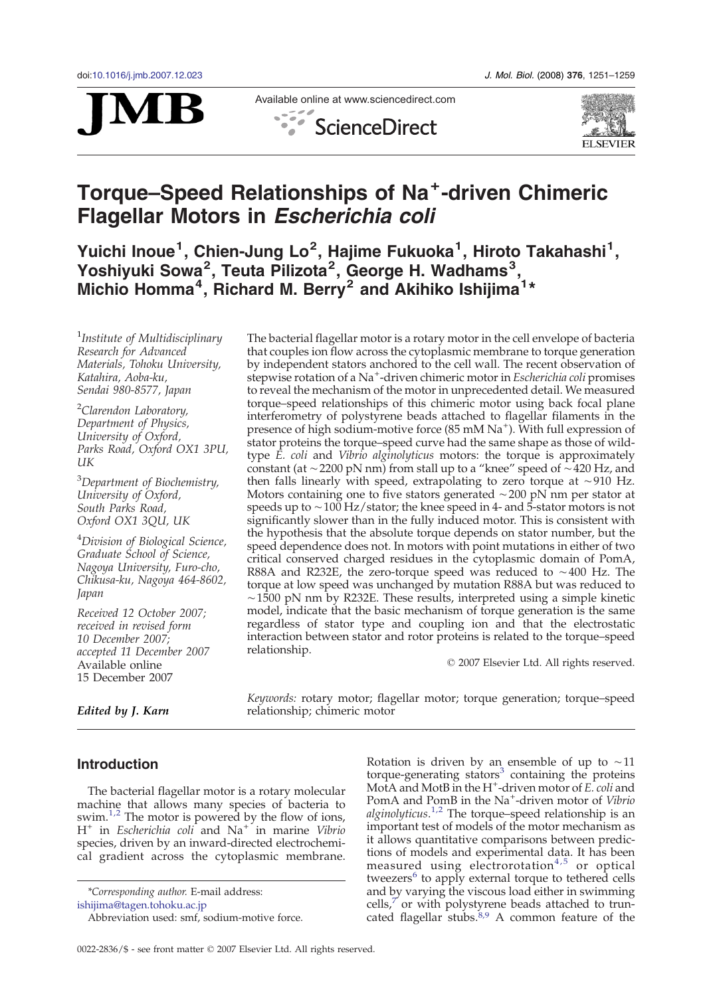

Available online at www.sciencedirect.com  $\frac{1}{2}$ **ScienceDirect** 



# Torque–Speed Relationships of Na<sup>+</sup>-driven Chimeric Flagellar Motors in Escherichia coli

Yuichi Inoue $^1$ , Chien-Jung Lo $^2$ , Hajime Fukuoka $^1$ , Hiroto Takahashi $^1,$ Yoshiyuki Sowa<sup>2</sup>, Teuta Pilizota<sup>2</sup>, George H. Wadhams<sup>3</sup>, Michio Homma<sup>4</sup>, Richard M. Berry<sup>2</sup> and Akihiko Ishijima<sup>1\*</sup>

<sup>1</sup>Institute of Multidisciplinary Research for Advanced Materials, Tohoku University, Katahira, Aoba-ku, Sendai 980-8577, Japan

<sup>2</sup>Clarendon Laboratory, Department of Physics, University of Oxford, Parks Road, Oxford OX1 3PU, UK

<sup>3</sup>Department of Biochemistry, University of Oxford, South Parks Road, Oxford OX1 3QU, UK

<sup>4</sup>Division of Biological Science, Graduate School of Science, Nagoya University, Furo-cho, Chikusa-ku, Nagoya 464-8602, Japan

Received 12 October 2007; received in revised form 10 December 2007; accepted 11 December 2007 Available online 15 December 2007

The bacterial flagellar motor is a rotary motor in the cell envelope of bacteria that couples ion flow across the cytoplasmic membrane to torque generation by independent stators anchored to the cell wall. The recent observation of stepwise rotation of a Na<sup>+</sup>-driven chimeric motor in Escherichia coli promises to reveal the mechanism of the motor in unprecedented detail. We measured torque–speed relationships of this chimeric motor using back focal plane interferometry of polystyrene beads attached to flagellar filaments in the presence of high sodium-motive force (85 mM Na<sup>+</sup>). With full expression of stator proteins the torque–speed curve had the same shape as those of wildtype E. coli and Vibrio alginolyticus motors: the torque is approximately constant (at ∼2200 pN nm) from stall up to a "knee" speed of ∼420 Hz, and then falls linearly with speed, extrapolating to zero torque at ∼910 Hz. Motors containing one to five stators generated ∼200 pN nm per stator at speeds up to ∼100 Hz/stator; the knee speed in 4- and 5-stator motors is not significantly slower than in the fully induced motor. This is consistent with the hypothesis that the absolute torque depends on stator number, but the speed dependence does not. In motors with point mutations in either of two critical conserved charged residues in the cytoplasmic domain of PomA, R88A and R232E, the zero-torque speed was reduced to ∼400 Hz. The torque at low speed was unchanged by mutation R88A but was reduced to ∼1500 pN nm by R232E. These results, interpreted using a simple kinetic model, indicate that the basic mechanism of torque generation is the same regardless of stator type and coupling ion and that the electrostatic interaction between stator and rotor proteins is related to the torque–speed relationship.

© 2007 Elsevier Ltd. All rights reserved.

Keywords: rotary motor; flagellar motor; torque generation; torque–speed relationship; chimeric motor

Edited by J. Karn

# Introduction

The bacterial flagellar motor is a rotary molecular machine that allows many species of bacteria to swim. $1,2$  The motor is powered by the flow of ions,  $H^+$  in Escherichia coli and Na<sup>+</sup> in marine Vibrio species, driven by an inward-directed electrochemical gradient across the cytoplasmic membrane.

Rotation is driven by an ensemble of up to  $~\sim 11$ torque-generating stators $3$  containing the proteins MotA and MotB in the H<sup>+</sup>-driven motor of  $\vec{E}$  coli and PomA and PomB in the Na<sup>+</sup>-driven motor of Vibrio alginolyticus.<sup>[1](#page-7-0),[2](#page-7-0)</sup> The torque–speed relationship is an important test of models of the motor mechanism as it allows quantitative comparisons between predictions of models and experimental data. It has been measured using electrorotation<sup>[4](#page-7-0),[5](#page-7-0)</sup> or optical tweezer[s](#page-7-0)<sup>[6](#page-7-0)</sup> to apply external torque to tethered cells and by varying the viscous load either in swimming  $cells<sub>i</sub>$  or with polystyrene beads attached to truncated flagellar stubs. $8.9$  A common feature of the

<sup>\*</sup>Corresponding author. E-mail address: [ishijima@tagen.tohoku.ac.jp](mailto:ishijima@tagen.tohoku.ac.jp)

Abbreviation used: smf, sodium-motive force.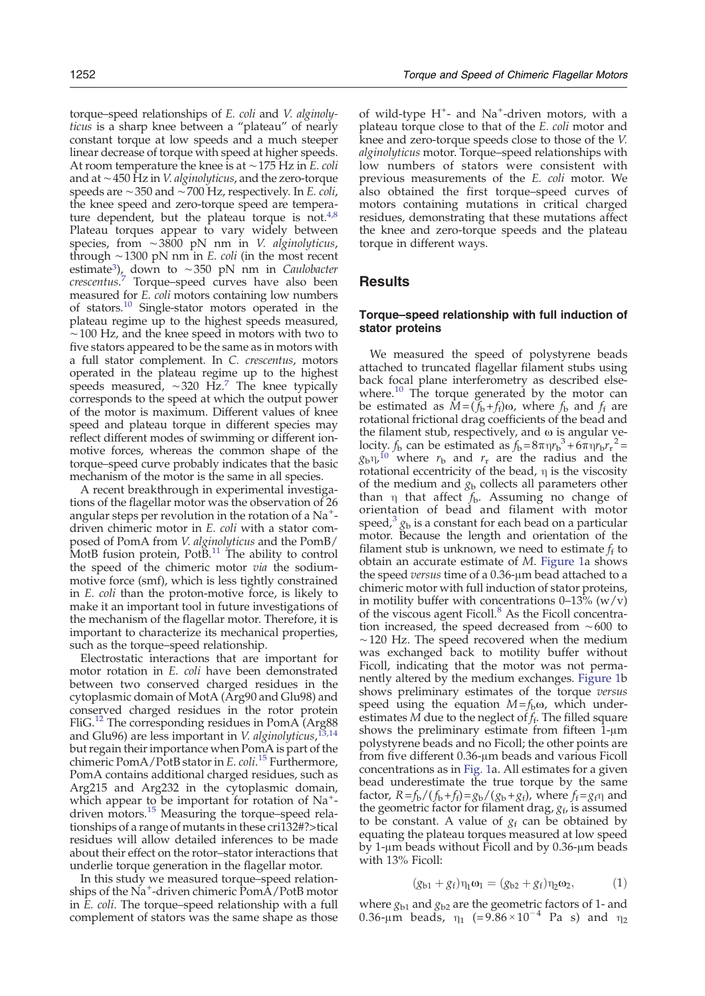torque–speed relationships of E. coli and V. alginolyticus is a sharp knee between a "plateau" of nearly constant torque at low speeds and a much steeper linear decrease of torque with speed at higher speeds. At room temperature the knee is at ∼175 Hz in E. coli and at ∼450 Hz in V. alginolyticus, and the zero-torque speeds are ∼350 and ∼700 Hz, respectively. In E. coli, the knee speed and zero-torque speed are temperature dependent, but the plateau torque is not.<sup>4,8</sup> Plateau torques appear to vary widely between species, from ∼3800 pN nm in *V. alginolyticus*, through  $∼1300$  pN nm in *E. coli* (in the most recent estimate[3\)](#page-7-0), down to ∼350 pN nm in Caulobacter crescentus[.](#page-7-0)<sup>[7](#page-7-0)</sup> Torque–speed curves have also been measured for E. coli motors containing low numbers of stators.[10](#page-8-0) Single-stator motors operated in the plateau regime up to the highest speeds measured,  $~\sim$ 100 Hz, and the knee speed in motors with two to five stators appeared to be the same as in motors with a full stator complement. In C. crescentus, motors operated in the plateau regime up to the highest speeds measured, ~320 Hz[.](#page-7-0)<sup>[7](#page-7-0)</sup> The knee typically corresponds to the speed at which the output power of the motor is maximum. Different values of knee speed and plateau torque in different species may reflect different modes of swimming or different ionmotive forces, whereas the common shape of the torque–speed curve probably indicates that the basic mechanism of the motor is the same in all species.

A recent breakthrough in experimental investigations of the flagellar motor was the observation of 26 angular steps per revolution in the rotation of a Na<sup>+</sup>driven chimeric motor in E. coli with a stator composed of PomA from V. alginolyticus and the PomB/ MotB fusion protein, PotB.<sup>[11](#page-8-0)</sup> The ability to control the speed of the chimeric motor via the sodiummotive force (smf), which is less tightly constrained in E. coli than the proton-motive force, is likely to make it an important tool in future investigations of the mechanism of the flagellar motor. Therefore, it is important to characterize its mechanical properties, such as the torque–speed relationship.

Electrostatic interactions that are important for motor rotation in E. coli have been demonstrated between two conserved charged residues in the cytoplasmic domain of MotA (Arg90 and Glu98) and conserved charged residues in the rotor protein FliG.[12](#page-8-0) The corresponding residues in PomA (Arg88 and Glu96) are less important in *V. alginolyticus*,<sup>[13,14](#page-8-0)</sup> but regain their importance when PomA is part of the chimeric PomA/PotB stator in *E. coli*.<sup>[15](#page-8-0)</sup> Furthermore, PomA contains additional charged residues, such as Arg215 and Arg232 in the cytoplasmic domain, which appear to be important for rotation of Na<sup>+</sup>-driven motors.<sup>[15](#page-8-0)</sup> Measuring the torque–speed relationships of a range of mutants in these cri132#?>tical residues will allow detailed inferences to be made about their effect on the rotor–stator interactions that underlie torque generation in the flagellar motor.

In this study we measured torque–speed relationships of the  $\rm \dot{Na^{+}}$ -driven chimeric Pom $\rm \dot{A}$ /PotB motor in E. coli. The torque–speed relationship with a full complement of stators was the same shape as those

of wild-type H<sup>+</sup>- and Na<sup>+</sup>-driven motors, with a plateau torque close to that of the E. coli motor and knee and zero-torque speeds close to those of the V. alginolyticus motor. Torque–speed relationships with low numbers of stators were consistent with previous measurements of the E. coli motor. We also obtained the first torque–speed curves of motors containing mutations in critical charged residues, demonstrating that these mutations affect the knee and zero-torque speeds and the plateau torque in different ways.

## **Results**

## Torque–speed relationship with full induction of stator proteins

We measured the speed of polystyrene beads attached to truncated flagellar filament stubs using back focal plane interferometry as described else-where.<sup>[10](#page-8-0)</sup> The torque generated by the motor can be estimated as  $\hat{M} = (\check{f}_b + \check{f}_f)\omega$ , where  $f_b$  and  $f_f$  are rotational frictional drag coefficients of the bead and the filament stub, respectively, and ω is angular velocity.  $f_b$  can be estimated as  $f_b = 8\pi \eta {r_b}^3 + 6\pi \eta {r_b} {r_r}^2 =$  $g_b\eta$ ,<sup>[10](#page-8-0)</sup> where  $r_b$  and  $r_r$  are the radius and the rotational eccentricity of the bead,  $\eta$  is the viscosity of the medium and  $g<sub>b</sub>$  collects all parameters other than  $\eta$  that affect  $f<sub>b</sub>$ . Assuming no change of orientation of bead and filament with motor speed[,](#page-7-0)<sup>[3](#page-7-0)</sup>  $g<sub>b</sub>$  is a constant for each bead on a particular motor. Because the length and orientation of the filament stub is unknown, we need to estimate  $f_f$  to obtain an accurate estimate of M. [Figure 1a](#page-2-0) shows the speed versus time of a 0.36-μm bead attached to a chimeric motor with full induction of stator proteins, in motility buffer with concentrations  $0-13\%$  (w/v) of the viscous agent Ficoll.<sup>[8](#page-7-0)</sup> As the Ficoll concentration increased, the speed decreased from ∼600 to ∼120 Hz. The speed recovered when the medium was exchanged back to motility buffer without Ficoll, indicating that the motor was not permanently altered by the medium exchanges. [Figure 1b](#page-2-0) shows preliminary estimates of the torque versus speed using the equation  $M=f_b\omega$ , which underestimates  $\tilde{M}$  due to the neglect of  $f_f$ . The filled square shows the preliminary estimate from fifteen  $1$ - $\mu$ m polystyrene beads and no Ficoll; the other points are from five different 0.36-μm beads and various Ficoll concentrations as in [Fig. 1](#page-2-0)a. All estimates for a given bead underestimate the true torque by the same factor,  $R=f_b/((f_b+f_f)=g_b/(g_b+g_f)$ , where  $f_f=g_f\eta$  and the geometric factor for filament drag,  $g_f$  is assumed to be constant. A value of  $g_f$  can be obtained by equating the plateau torques measured at low speed by 1-μm beads without Ficoll and by 0.36-μm beads with 13% Ficoll:

$$
(g_{b1} + g_f)\eta_1 \omega_1 = (g_{b2} + g_f)\eta_2 \omega_2, \tag{1}
$$

where  $g_{b1}$  and  $g_{b2}$  are the geometric factors of 1- and 0.36-μm beads,  $\eta_1$  (=9.86 × 10<sup>-4</sup> Pa s) and  $\eta_2$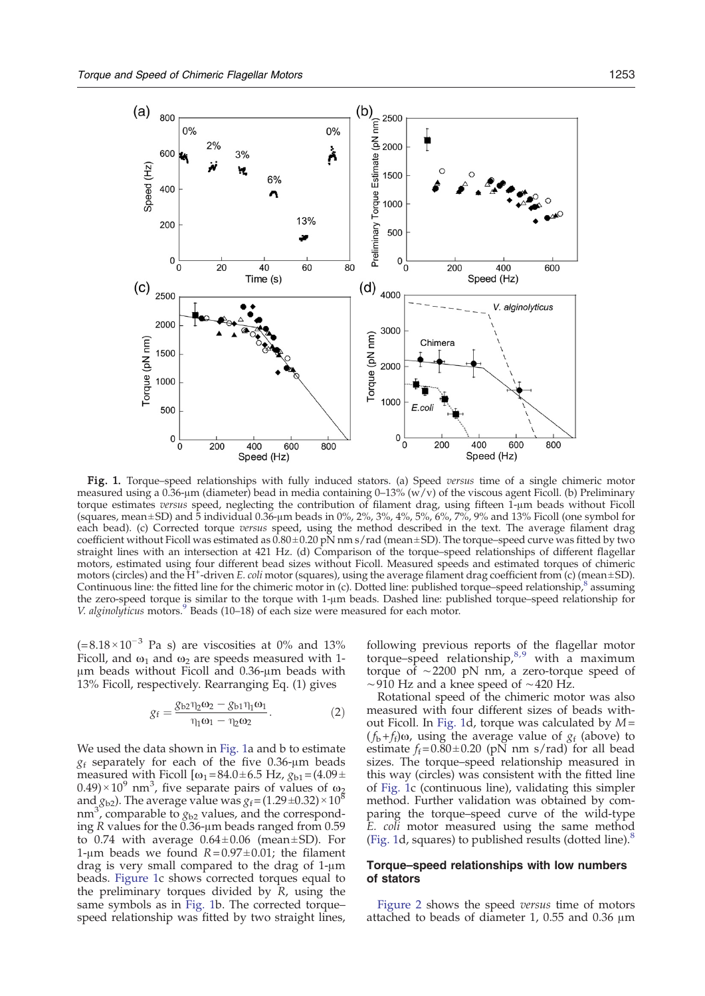<span id="page-2-0"></span>

Fig. 1. Torque–speed relationships with fully induced stators. (a) Speed versus time of a single chimeric motor measured using a 0.36-µm (diameter) bead in media containing  $0-13\%$  (w/v) of the viscous agent Ficoll. (b) Preliminary torque estimates versus speed, neglecting the contribution of filament drag, using fifteen 1-μm beads without Ficoll (squares, mean  $\pm$  SD) and  $\bar{5}$  individual 0.36-µm beads in 0%, 2%, 3%, 4%, 5%, 6%, 7%, 9% and 13% Ficoll (one symbol for each bead). (c) Corrected torque versus speed, using the method described in the text. The average filament drag coefficient without Ficoll was estimated as  $0.80 \pm 0.20$  pN nm s/rad (mean $\pm$ SD). The torque–speed curve was fitted by two straight lines with an intersection at 421 Hz. (d) Comparison of the torque–speed relationships of different flagellar motors, estimated using four different bead sizes without Ficoll. Measured speeds and estimated torques of chimeric motors (circles) and the H<sup>+</sup>-driven *E. coli* motor (squares), using the average filament drag coefficient from (c) (mean ± SD). Continuous line: the fitted line for the chimeric motor in (c). Dotted line: published torque–speed relationship, $8$  assuming the zero-speed torque is similar to the torque with 1-μm beads. Dashed line: published torque–speed relationship for V. alginolyticus motors.<sup>[9](#page-8-0)</sup> Beads (10–18) of each size were measured for each motor.

 $(= 8.18 \times 10^{-3}$  Pa s) are viscosities at 0% and 13% Ficoll, and  $\omega_1$  and  $\omega_2$  are speeds measured with 1μm beads without Ficoll and 0.36-μm beads with 13% Ficoll, respectively. Rearranging Eq. (1) gives

$$
g_f = \frac{g_{b2}\eta_2\omega_2 - g_{b1}\eta_1\omega_1}{\eta_1\omega_1 - \eta_2\omega_2}.
$$
 (2)

We used the data shown in Fig. 1a and b to estimate  $g_f$  separately for each of the five 0.36-µm beads measured with Ficoll  $[\omega_1 = 84.0 \pm 6.5 \text{ Hz}, g_{b1} = (4.09 \pm 1.0 \text{ Hz})$  $(0.49) \times 10^9$  nm<sup>3</sup>, five separate pairs of values of  $\omega_2$ and  $g_{\text{b2}}$ ). The average value was  $g_{\text{f}}$  = (1.29 ±0.32) × 10<sup>8</sup> nm<sup>3</sup>, comparable to  $g_{b2}$  values, and the corresponding R values for the 0.36-μm beads ranged from 0.59 to 0.74 with average  $0.64 \pm 0.06$  (mean  $\pm$  SD). For 1-μm beads we found  $R = 0.97 \pm 0.01$ ; the filament drag is very small compared to the drag of 1-μm beads. Figure 1c shows corrected torques equal to the preliminary torques divided by R, using the same symbols as in Fig. 1b. The corrected torque– speed relationship was fitted by two straight lines,

following previous reports of the flagellar motor torque–speed relationship, $8.9$  $8.9$  $8.9$  with a maximum torque of ∼2200 pN nm, a zero-torque speed of  $\sim$ 910 Hz and a knee speed of ~420 Hz.

Rotational speed of the chimeric motor was also measured with four different sizes of beads without Ficoll. In Fig. 1d, torque was calculated by  $M=$  $(f_b+f_f)\omega$ , using the average value of  $g_f$  (above) to estimate  $f_f = 0.80 \pm 0.20$  (pN nm s/rad) for all bead sizes. The torque–speed relationship measured in this way (circles) was consistent with the fitted line of Fig. 1c (continuous line), validating this simpler method. Further validation was obtained by comparing the torque–speed curve of the wild-type E. coli motor measured using the same method (Fig. 1d, squares) to published results (dotted line). $8$ 

#### Torque–speed relationships with low numbers of stators

[Figure 2](#page-3-0) shows the speed versus time of motors attached to beads of diameter 1, 0.55 and 0.36 μm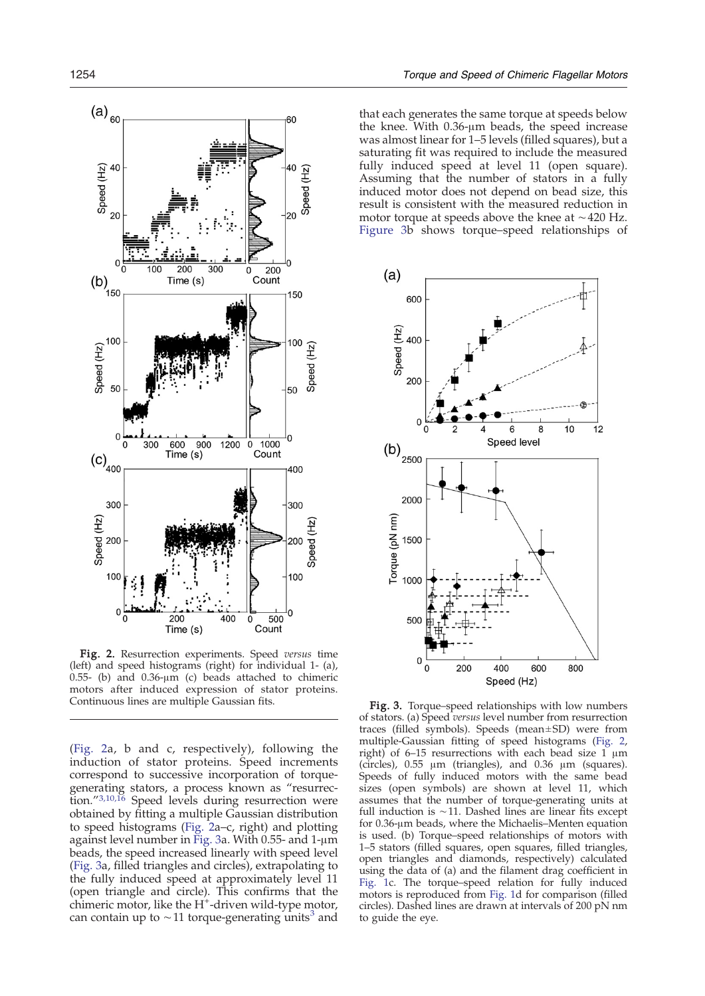<span id="page-3-0"></span>

Fig. 2. Resurrection experiments. Speed versus time (left) and speed histograms (right) for individual 1- (a), 0.55- (b) and 0.36-μm (c) beads attached to chimeric motors after induced expression of stator proteins.

(Fig. 2a, b and c, respectively), following the induction of stator proteins. Speed increments correspond to successive incorporation of torquegenerating stators, a process known as "resurrection."[3,10,16](#page-7-0) Speed levels during resurrection were obtained by fitting a multiple Gaussian distribution to speed histograms (Fig. 2a–c, right) and plotting against level number in Fig. 3a. With 0.55- and 1-μm beads, the speed increased linearly with speed level (Fig. 3a, filled triangles and circles), extrapolating to the fully induced speed at approximately level 11 (open triangle and circle). This confirms that the chimeric motor, like the  $H^+$ -driven wild-type motor, can contain up to  $\sim$  11 torque-generating units<sup>[3](#page-7-0)</sup> and

that each generates the same torque at speeds below the knee. With 0.36-μm beads, the speed increase was almost linear for 1-5 levels (filled squares), but a saturating fit was required to include the measured fully induced speed at level 11 (open square). Assuming that the number of stators in a fully induced motor does not depend on bead size, this result is consistent with the measured reduction in motor torque at speeds above the knee at ∼420 Hz. Figure 3b shows torque–speed relationships of



Fig. 3. Torque–speed relationships with low numbers of stators. (a) Speed versus level number from resurrection traces (filled symbols). Speeds (mean ± SD) were from multiple-Gaussian fitting of speed histograms (Fig. 2, right) of 6–15 resurrections with each bead size 1  $\mu$ m (circles), 0.55 μm (triangles), and 0.36 μm (squares). Speeds of fully induced motors with the same bead sizes (open symbols) are shown at level 11, which assumes that the number of torque-generating units at full induction is ∼11. Dashed lines are linear fits except for 0.36-μm beads, where the Michaelis–Menten equation is used. (b) Torque–speed relationships of motors with 1–5 stators (filled squares, open squares, filled triangles, open triangles and diamonds, respectively) calculated using the data of (a) and the filament drag coefficient in [Fig. 1c](#page-2-0). The torque–speed relation for fully induced motors is reproduced from [Fig. 1d](#page-2-0) for comparison (filled circles). Dashed lines are drawn at intervals of 200 pN nm to guide the eye.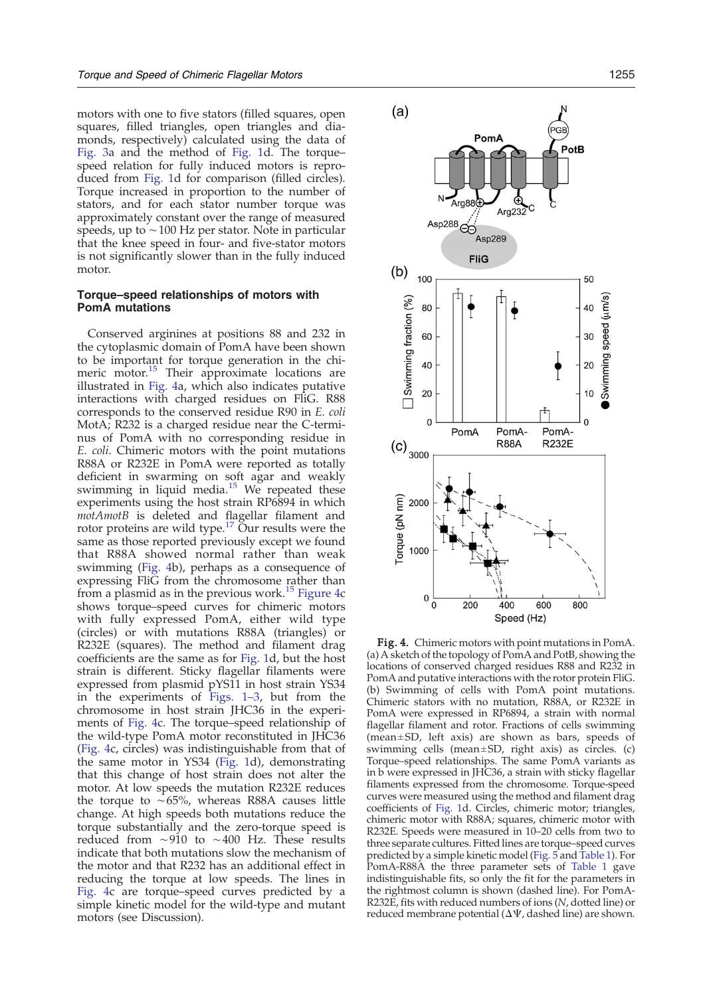<span id="page-4-0"></span>motors with one to five stators (filled squares, open squares, filled triangles, open triangles and diamonds, respectively) calculated using the data of [Fig. 3a](#page-3-0) and the method of [Fig. 1d](#page-2-0). The torque– speed relation for fully induced motors is reproduced from [Fig. 1](#page-2-0)d for comparison (filled circles). Torque increased in proportion to the number of stators, and for each stator number torque was approximately constant over the range of measured speeds, up to ∼100 Hz per stator. Note in particular that the knee speed in four- and five-stator motors is not significantly slower than in the fully induced motor.

## Torque–speed relationships of motors with PomA mutations

Conserved arginines at positions 88 and 232 in the cytoplasmic domain of PomA have been shown to be important for torque generation in the chi-meric motor.<sup>[15](#page-8-0)</sup> Their approximate locations are illustrated in Fig. 4a, which also indicates putative interactions with charged residues on FliG. R88 corresponds to the conserved residue R90 in E. coli MotA; R232 is a charged residue near the C-terminus of PomA with no corresponding residue in E. coli. Chimeric motors with the point mutations R88A or R232E in PomA were reported as totally deficient in swarming on soft agar and weakly swimming in liquid media.<sup>[15](#page-8-0)</sup> We repeated these experiments using the host strain RP6894 in which motAmotB is deleted and flagellar filament and rotor proteins are wild type.<sup>[17](#page-8-0)</sup> Our results were the same as those reported previously except we found that R88A showed normal rather than weak swimming (Fig. 4b), perhaps as a consequence of expressing FliG from the chromosome rather than from a plasmid as in the previous work.<sup>[15](#page-8-0)</sup> Figure 4c shows torque–speed curves for chimeric motors with fully expressed PomA, either wild type (circles) or with mutations R88A (triangles) or R232E (squares). The method and filament drag coefficients are the same as for [Fig. 1d](#page-2-0), but the host strain is different. Sticky flagellar filaments were expressed from plasmid pYS11 in host strain YS34 in the experiments of [Figs. 1](#page-2-0)–3, but from the chromosome in host strain JHC36 in the experiments of Fig. 4c. The torque–speed relationship of the wild-type PomA motor reconstituted in JHC36 (Fig. 4c, circles) was indistinguishable from that of the same motor in YS34 [\(Fig. 1](#page-2-0)d), demonstrating that this change of host strain does not alter the motor. At low speeds the mutation R232E reduces the torque to ∼65%, whereas R88A causes little change. At high speeds both mutations reduce the torque substantially and the zero-torque speed is reduced from ∼910 to ~400 Hz. These results indicate that both mutations slow the mechanism of the motor and that R232 has an additional effect in reducing the torque at low speeds. The lines in Fig. 4c are torque–speed curves predicted by a simple kinetic model for the wild-type and mutant motors (see Discussion).



Fig. 4. Chimeric motors with point mutations in PomA. (a) A sketch of the topology of PomA and PotB, showing the locations of conserved charged residues R88 and R232 in PomA and putative interactions with the rotor protein FliG. (b) Swimming of cells with PomA point mutations. Chimeric stators with no mutation, R88A, or R232E in PomA were expressed in RP6894, a strain with normal flagellar filament and rotor. Fractions of cells swimming (mean  $\pm$  SD, left axis) are shown as bars, speeds of swimming cells (mean $\pm$ SD, right axis) as circles. (c) Torque–speed relationships. The same PomA variants as in b were expressed in JHC36, a strain with sticky flagellar filaments expressed from the chromosome. Torque-speed curves were measured using the method and filament drag coefficients of [Fig. 1d](#page-2-0). Circles, chimeric motor; triangles, chimeric motor with R88A; squares, chimeric motor with R232E. Speeds were measured in 10–20 cells from two to three separate cultures. Fitted lines are torque–speed curves predicted by a simple kinetic model ([Fig. 5](#page-6-0) and [Table 1](#page-6-0)). For PomA-R88A the three parameter sets of [Table 1](#page-6-0) gave indistinguishable fits, so only the fit for the parameters in the rightmost column is shown (dashed line). For PomA-R232E, fits with reduced numbers of ions  $(N, \text{dotted line})$  or reduced membrane potential ( $\Delta\Psi$ , dashed line) are shown.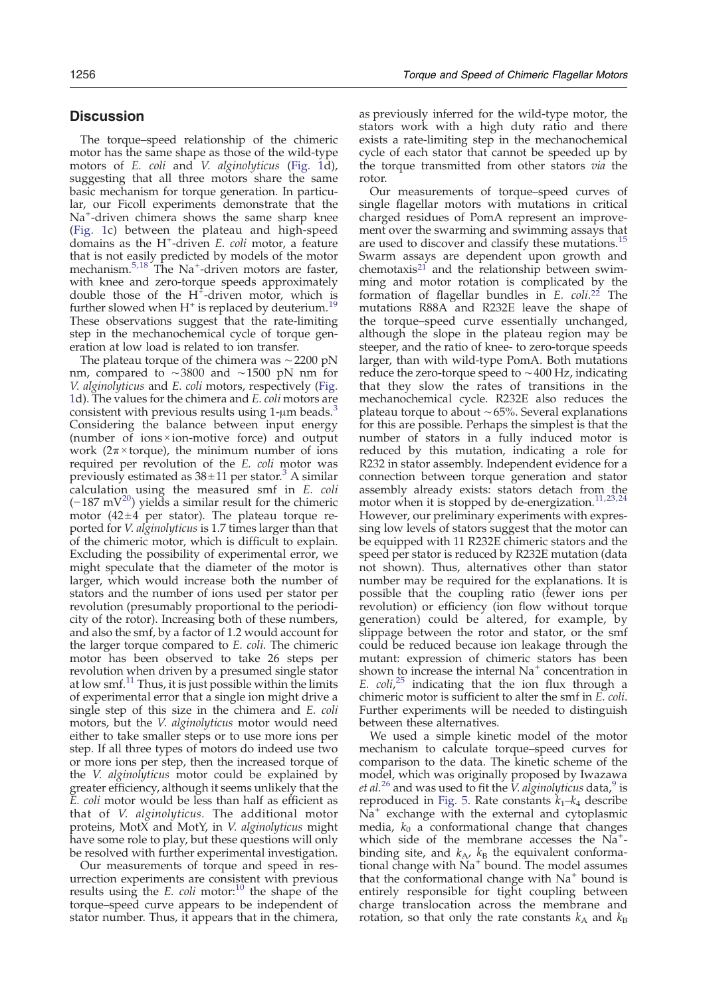# **Discussion**

The torque–speed relationship of the chimeric motor has the same shape as those of the wild-type motors of E. coli and V. alginolyticus ([Fig. 1d](#page-2-0)), suggesting that all three motors share the same basic mechanism for torque generation. In particular, our Ficoll experiments demonstrate that the Na<sup>+</sup>-driven chimera shows the same sharp knee [\(Fig. 1](#page-2-0)c) between the plateau and high-speed domains as the  $H^+$ -driven E. coli motor, a feature that is not easily predicted by models of the motor mechanism.<sup>[5](#page-7-0),[18](#page-8-0)</sup> The Na<sup>+</sup>-driven motors are faster, with knee and zero-torque speeds approximately double those of the  $H^{\ddagger}$ -driven motor, which is further slowed when  $H^+$  is replaced by deuterium.<sup>[19](#page-8-0)</sup> These observations suggest that the rate-limiting step in the mechanochemical cycle of torque generation at low load is related to ion transfer.

The plateau torque of the chimera was ∼2200 pN nm, compared to ∼3800 and ∼1500 pN nm for V. alginolyticus and E. coli motors, respectively [\(Fig.](#page-2-0) [1d](#page-2-0)). The values for the chimera and E. coli motors are consistent with previous results using  $1$ -μm beads.<sup>[3](#page-7-0)</sup> Considering the balance between input energy (number of ions  $\times$  ion-motive force) and output work ( $2\pi \times$  torque), the minimum number of ions required per revolution of the E. coli motor was previously estimated as  $38 \pm 11$  $38 \pm 11$  per stator[.](#page-7-0)<sup>3</sup> A similar calculation using the measured smf in E. coli  $(-187 \text{ mV}^{20})$  $(-187 \text{ mV}^{20})$  $(-187 \text{ mV}^{20})$  yields a similar result for the chimeric motor  $(42 \pm 4)$  per stator). The plateau torque reported for *V. alginolyticus* is 1.7 times larger than that of the chimeric motor, which is difficult to explain. Excluding the possibility of experimental error, we might speculate that the diameter of the motor is larger, which would increase both the number of stators and the number of ions used per stator per revolution (presumably proportional to the periodicity of the rotor). Increasing both of these numbers, and also the smf, by a factor of 1.2 would account for the larger torque compared to E. coli. The chimeric motor has been observed to take 26 steps per revolution when driven by a presumed single stator at low smf. $^{11}$  $^{11}$  $^{11}$  Thus, it is just possible within the limits of experimental error that a single ion might drive a single step of this size in the chimera and E. coli motors, but the V. alginolyticus motor would need either to take smaller steps or to use more ions per step. If all three types of motors do indeed use two or more ions per step, then the increased torque of the V. alginolyticus motor could be explained by greater efficiency, although it seems unlikely that the E. coli motor would be less than half as efficient as that of V. alginolyticus. The additional motor proteins, MotX and MotY, in V. alginolyticus might have some role to play, but these questions will only be resolved with further experimental investigation.

Our measurements of torque and speed in resurrection experiments are consistent with previous results using the  $E.$  coli motor:<sup>[10](#page-8-0)</sup> the shape of the torque–speed curve appears to be independent of stator number. Thus, it appears that in the chimera,

as previously inferred for the wild-type motor, the stators work with a high duty ratio and there exists a rate-limiting step in the mechanochemical cycle of each stator that cannot be speeded up by the torque transmitted from other stators via the rotor.

Our measurements of torque–speed curves of single flagellar motors with mutations in critical charged residues of PomA represent an improvement over the swarming and swimming assays that are used to discover and classify these mutations.<sup>[15](#page-8-0)</sup> Swarm assays are dependent upon growth and chemotaxis<sup>[21](#page-8-0)</sup> and the relationship between swimming and motor rotation is complicated by the formation of flagellar bundles in E. coli.<sup>[22](#page-8-0)</sup> The mutations R88A and R232E leave the shape of the torque–speed curve essentially unchanged, although the slope in the plateau region may be steeper, and the ratio of knee- to zero-torque speeds larger, than with wild-type PomA. Both mutations reduce the zero-torque speed to ∼400 Hz, indicating that they slow the rates of transitions in the mechanochemical cycle. R232E also reduces the plateau torque to about ∼65%. Several explanations for this are possible. Perhaps the simplest is that the number of stators in a fully induced motor is reduced by this mutation, indicating a role for R232 in stator assembly. Independent evidence for a connection between torque generation and stator assembly already exists: stators detach from the motor when it is stopped by de-energization[.](#page-8-0)<sup>[11](#page-8-0),[23](#page-8-0),[24](#page-8-0)</sup> However, our preliminary experiments with expressing low levels of stators suggest that the motor can be equipped with 11 R232E chimeric stators and the speed per stator is reduced by R232E mutation (data not shown). Thus, alternatives other than stator number may be required for the explanations. It is possible that the coupling ratio (fewer ions per revolution) or efficiency (ion flow without torque generation) could be altered, for example, by slippage between the rotor and stator, or the smf could be reduced because ion leakage through the mutant: expression of chimeric stators has been shown to increase the internal  $Na<sup>+</sup>$  concentration in E.  $\text{coli},^{25}$  $\text{coli},^{25}$  $\text{coli},^{25}$  indicating that the ion flux through a chimeric motor is sufficient to alter the smf in E. coli. Further experiments will be needed to distinguish between these alternatives.

We used a simple kinetic model of the motor mechanism to calculate torque–speed curves for comparison to the data. The kinetic scheme of the model, which was originally proposed by Iwazawa *et al.*<sup>[26](#page-8-0)</sup> and was used to fit the  $\hat{V}$ . *alginolyticus* data,<sup>[9](#page-8-0)</sup> is reproduced in [Fig. 5](#page-6-0). Rate constants  $k_1-k_4$  describe  $N\bar{a}^+$  exchange with the external and cytoplasmic media,  $k_0$  a conformational change that changes which side of the membrane accesses the  $N\ddot{a}^+$ binding site, and  $k_A$ ,  $k_B$  the equivalent conformational change with  $Na<sup>+</sup>$  bound. The model assumes that the conformational change with  $Na<sup>+</sup>$  bound is entirely responsible for tight coupling between charge translocation across the membrane and rotation, so that only the rate constants  $k_A$  and  $k_B$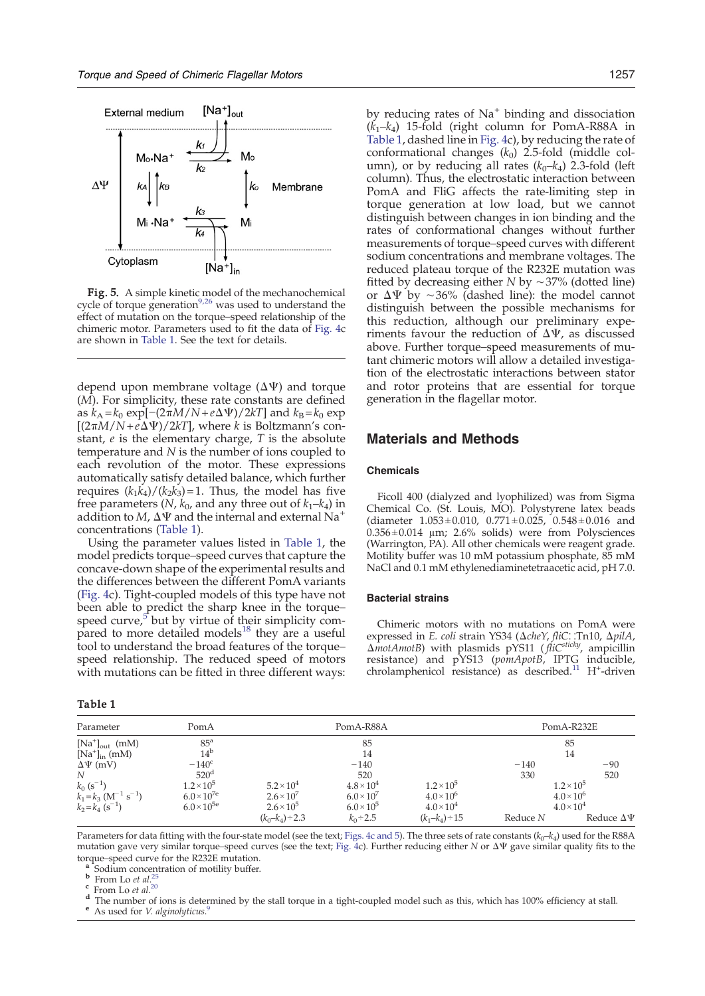<span id="page-6-0"></span>

**Fig. 5.** A simple kinetic model of the mechanochemical cycle of torque generation<sup>[9](#page-8-0),[26](#page-8-0)</sup> was used to understand the effect of mutation on the torque–speed relationship of the chimeric motor. Parameters used to fit the data of [Fig. 4c](#page-4-0) are shown in Table 1. See the text for details.

depend upon membrane voltage  $(\Delta\Psi)$  and torque (M). For simplicity, these rate constants are defined as  $k_A = k_0 \exp[-(2\pi M/N + e\Delta\Psi)/2kT]$  and  $k_B = k_0 \exp$  $[(2\pi M/N + e\Delta\Psi)/2kT]$ , where k is Boltzmann's constant,  $e$  is the elementary charge,  $T$  is the absolute temperature and N is the number of ions coupled to each revolution of the motor. These expressions automatically satisfy detailed balance, which further requires  $(k_1k_4)/(k_2k_3)$  = 1. Thus, the model has five free parameters ( $N$ ,  $k_0$ , and any three out of  $k_1$ – $k_4$ ) in addition to M,  $\Delta \Psi$  and the internal and external Na<sup>+</sup> concentrations (Table 1).

Using the parameter values listed in Table 1, the model predicts torque–speed curves that capture the concave-down shape of the experimental results and the differences between the different PomA variants [\(Fig. 4](#page-4-0)c). Tight-coupled models of this type have not been able to predict the sharp knee in the torque– speed curve, $5$  but by virtue of their simplicity compared to more detailed models $^{18}$  $^{18}$  $^{18}$  they are a useful tool to understand the broad features of the torque– speed relationship. The reduced speed of motors with mutations can be fitted in three different ways:

## Table 1

by reducing rates of Na<sup>+</sup> binding and dissociation  $(k_1-k_4)$  15-fold (right column for PomA-R88A in Table 1, dashed line in [Fig. 4c](#page-4-0)), by reducing the rate of conformational changes  $(k_0)$  2.5-fold (middle column), or by reducing all rates  $(k_0-k_4)$  2.3-fold (left column). Thus, the electrostatic interaction between PomA and FliG affects the rate-limiting step in torque generation at low load, but we cannot distinguish between changes in ion binding and the rates of conformational changes without further measurements of torque–speed curves with different sodium concentrations and membrane voltages. The reduced plateau torque of the R232E mutation was fitted by decreasing either N by  $\sim$ 37% (dotted line) or  $\Delta\Psi$  by ∼36% (dashed line): the model cannot distinguish between the possible mechanisms for this reduction, although our preliminary experiments favour the reduction of  $\Delta \Psi$ , as discussed above. Further torque–speed measurements of mutant chimeric motors will allow a detailed investigation of the electrostatic interactions between stator and rotor proteins that are essential for torque generation in the flagellar motor.

# Materials and Methods

#### **Chemicals**

Ficoll 400 (dialyzed and lyophilized) was from Sigma Chemical Co. (St. Louis, MO). Polystyrene latex beads (diameter  $1.053 \pm 0.010$ ,  $0.771 \pm 0.025$ ,  $0.548 \pm 0.016$  and  $0.356 \pm 0.014$  μm; 2.6% solids) were from Polysciences (Warrington, PA). All other chemicals were reagent grade. Motility buffer was 10 mM potassium phosphate, 85 mM NaCl and 0.1 mM ethylenediaminetetraacetic acid, pH 7.0.

#### Bacterial strains

Chimeric motors with no mutations on PomA were expressed in E. coli strain YS34 (ΔcheY, fliC∷Tn10, ΔpilA, ΔmotAmotB) with plasmids pYS11 (fliC<sup>sticky</sup>, ampicillin resistance) and pYS13 (pomApotB, IPTG inducible, chrolamphenicol resistance) as described.<sup>[11](#page-8-0)</sup> H<sup>+</sup>-driven

| Parameter                                    | PomA                  | PomA-R88A           |                     |                                            | PomA-R232E          |                     |  |
|----------------------------------------------|-----------------------|---------------------|---------------------|--------------------------------------------|---------------------|---------------------|--|
| $[Na^+]_{out}$ (mM)                          | $85^{\circ}$          |                     | 85                  |                                            |                     | 85                  |  |
| $[Na^+]_{in}(mM)$                            | 14 <sup>b</sup>       |                     | 14                  |                                            |                     | 14                  |  |
| $\Delta\Psi$ (mV)                            | $-140^{\circ}$        |                     | $-140$              |                                            | $-140$              | $-90$               |  |
| N                                            | 520 <sup>d</sup>      |                     | 520                 |                                            | 330                 | 520                 |  |
| $k_0$ (s <sup>-1</sup> )                     | $1.2 \times 10^{5}$   | $5.2 \times 10^4$   | $4.8 \times 10^{4}$ | $1.2 \times 10^{5}$                        | $1.2 \times 10^{5}$ |                     |  |
| $k_1 = k_3 \ (\text{M}^{-1} \text{ s}^{-1})$ | $6.0 \times 10^{7}$ e | $2.6 \times 10^{7}$ | $6.0 \times 10^{7}$ | $4.0 \times 10^{6}$                        | $4.0 \times 10^{6}$ |                     |  |
| $k_2 = k_4$ (s <sup>-1</sup> )               | $6.0 \times 10^{5e}$  | $2.6 \times 10^5$   | $6.0 \times 10^{5}$ | $4.0 \times 10^{4}$<br>$4.0 \times 10^{4}$ |                     |                     |  |
|                                              |                       | $(k_0-k_4)=2.3$     | $k_0$ ÷2.5          | $(k_1-k_4)$ – 15                           | Reduce N            | Reduce $\Delta\Psi$ |  |

Parameters for data fitting with the four-state model (see the text; [Figs. 4c and 5](#page-4-0)). The three sets of rate constants ( $k_0$ – $k_4$ ) used for the R88A mutation gave very similar torque–speed curves (see the text; [Fig. 4c\)](#page-4-0). Further reducing either N or  $\Delta\Psi$  gave similar quality fits to the

torque–speed curve for the R232E mutation.<br><sup>a</sup> Sodium con[centra](#page-8-0)tion of motility buffer.

 $\frac{1}{2}$  From Lo *et al*<sup>2</sup>

 $\frac{c}{\cdot}$  From Lo *et al*.<sup>[20](#page-8-0)</sup>

 $\frac{d}{dt}$  The number of ions is det[erm](#page-8-0)ined by the stall torque in a tight-coupled model such as this, which has 100% efficiency at stall. As used for *V. alginolyticus*.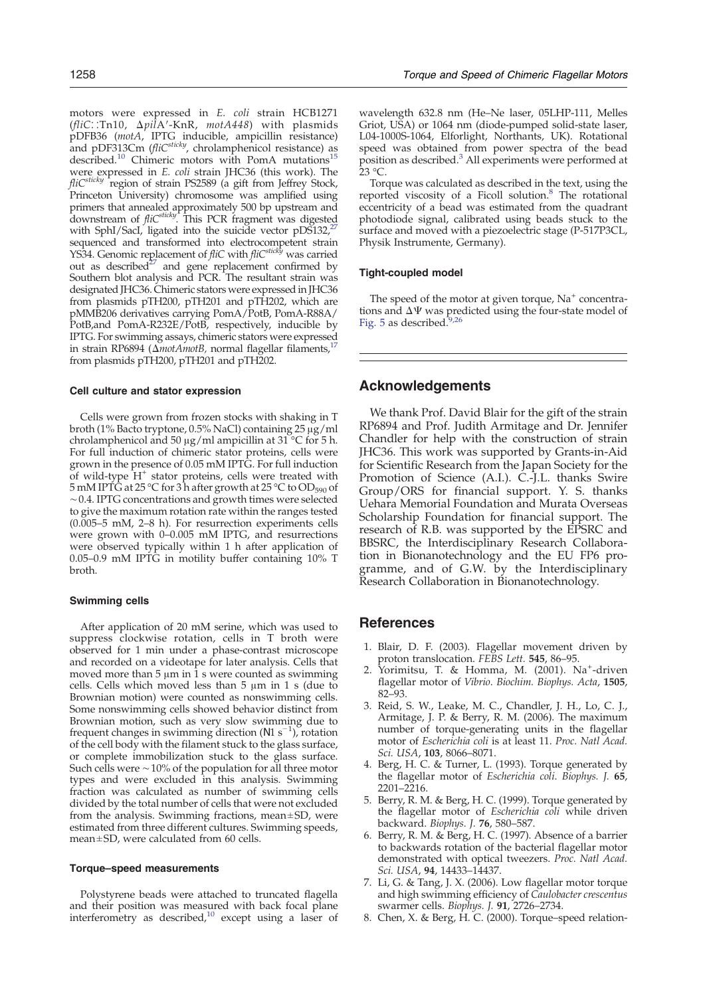<span id="page-7-0"></span>motors were expressed in E. coli strain HCB1271 (fliC∷Tn10, ΔpilA′-KnR, motA448) with plasmids pDFB36 (motA, IPTG inducible, ampicillin resistance) and pDF313Cm (fliC<sup>sticky</sup>, chrolamphenicol resistance) as described.<sup>[10](#page-8-0)</sup> Chimeric motors with PomA mutations<sup>13</sup> were expressed in E. coli strain JHC36 (this work). The fliC<sup>sticky</sup> region of strain PS2589 (a gift from Jeffrey Stock, Princeton University) chromosome was amplified using primers that annealed approximately 500 bp upstream and<br>downstream of *fliC<sup>sticky</sup>*. This PCR fragment was digested with SphI/SacI, ligated into the suicide vector pDS132,<sup>[27](#page-8-0)</sup> sequenced and transformed into electrocompetent strain YS34. Genomic replacement of fliC with fliC<sup>sticky</sup> was carried out as described $27$  and gene replacement confirmed by Southern blot analysis and PCR. The resultant strain was designated JHC36. Chimeric stators were expressed in JHC36 from plasmids pTH200, pTH201 and pTH202, which are pMMB206 derivatives carrying PomA/PotB, PomA-R88A/ PotB,and PomA-R232E/PotB, respectively, inducible by IPTG. For swimming assays, chimeric stators were expressed in strain RP6894 ( $\Delta$ *motAmotB*, normal flagellar filaments,<sup>[17](#page-8-0)</sup> from plasmids pTH200, pTH201 and pTH202.

#### Cell culture and stator expression

Cells were grown from frozen stocks with shaking in T broth (1% Bacto tryptone, 0.5% NaCl) containing 25 μg/ml chrolamphenicol and 50  $\mu$ g/ml ampicillin at 31 °C for 5 h. For full induction of chimeric stator proteins, cells were grown in the presence of 0.05 mM IPTG. For full induction of wild-type  $H^+$  stator proteins, cells were treated with 5 mM IPTG at 25 °C for 3 h after growth at 25 °C to OD<sub>590</sub> of ∼0.4. IPTG concentrations and growth times were selected to give the maximum rotation rate within the ranges tested (0.005–5 mM, 2–8 h). For resurrection experiments cells were grown with 0–0.005 mM IPTG, and resurrections were observed typically within 1 h after application of 0.05–0.9 mM IPTG in motility buffer containing 10% T broth.

#### Swimming cells

After application of 20 mM serine, which was used to suppress clockwise rotation, cells in T broth were observed for 1 min under a phase-contrast microscope and recorded on a videotape for later analysis. Cells that moved more than  $5 \mu m$  in  $\overline{1}$  s were counted as swimming cells. Cells which moved less than  $5 \mu m$  in 1 s (due to Brownian motion) were counted as nonswimming cells. Some nonswimming cells showed behavior distinct from Brownian motion, such as very slow swimming due to frequent changes in swimming direction (N1 s<sup>-1</sup>), rotation of the cell body with the filament stuck to the glass surface, or complete immobilization stuck to the glass surface. Such cells were ∼10% of the population for all three motor types and were excluded in this analysis. Swimming fraction was calculated as number of swimming cells divided by the total number of cells that were not excluded from the analysis. Swimming fractions, mean $\pm$ SD, were estimated from three different cultures. Swimming speeds, mean ± SD, were calculated from 60 cells.

#### Torque–speed measurements

Polystyrene beads were attached to truncated flagella and their position was measured with back focal plane interferometry as described, $10$  except using a laser of wavelength 632.8 nm (He–Ne laser, 05LHP-111, Melles Griot, USA) or 1064 nm (diode-pumped solid-state laser, L04-1000S-1064, Elforlight, Northants, UK). Rotational speed was obtained from power spectra of the bead position as described.<sup>3</sup> All experiments were performed at  $23$  °C.

Torque was calculated as described in the text, using the reported viscosity of a Ficoll solution.<sup>8</sup> The rotational eccentricity of a bead was estimated from the quadrant photodiode signal, calibrated using beads stuck to the surface and moved with a piezoelectric stage (P-517P3CL, Physik Instrumente, Germany).

#### Tight-coupled model

The speed of the motor at given torque,  $Na<sup>+</sup>$  concentrations and ΔΨ was predicted using the four-state model of [Fig. 5](#page-6-0) as described.<sup>[9,26](#page-8-0)</sup>

## Acknowledgements

We thank Prof. David Blair for the gift of the strain RP6894 and Prof. Judith Armitage and Dr. Jennifer Chandler for help with the construction of strain JHC36. This work was supported by Grants-in-Aid for Scientific Research from the Japan Society for the Promotion of Science (A.I.). C.-J.L. thanks Swire Group/ORS for financial support. Y. S. thanks Uehara Memorial Foundation and Murata Overseas Scholarship Foundation for financial support. The research of R.B. was supported by the EPSRC and BBSRC, the Interdisciplinary Research Collaboration in Bionanotechnology and the EU FP6 programme, and of G.W. by the Interdisciplinary Research Collaboration in Bionanotechnology.

## References

- 1. Blair, D. F. (2003). Flagellar movement driven by proton translocation. FEBS Lett. 545, 86–95.
- 2. Yorimitsu, T. & Homma, M. (2001). Na<sup>+</sup>-driven flagellar motor of Vibrio. Biochim. Biophys. Acta, 1505, 82–93.
- 3. Reid, S. W., Leake, M. C., Chandler, J. H., Lo, C. J., Armitage, J. P. & Berry, R. M. (2006). The maximum number of torque-generating units in the flagellar motor of Escherichia coli is at least 11. Proc. Natl Acad. Sci. USA, 103, 8066–8071.
- 4. Berg, H. C. & Turner, L. (1993). Torque generated by the flagellar motor of Escherichia coli. Biophys. J. 65, 2201–2216.
- 5. Berry, R. M. & Berg, H. C. (1999). Torque generated by the flagellar motor of Escherichia coli while driven backward. Biophys. J. 76, 580–587.
- 6. Berry, R. M. & Berg, H. C. (1997). Absence of a barrier to backwards rotation of the bacterial flagellar motor demonstrated with optical tweezers. Proc. Natl Acad. Sci. USA, 94, 14433–14437.
- 7. Li, G. & Tang, J. X. (2006). Low flagellar motor torque and high swimming efficiency of Caulobacter crescentus swarmer cells. Biophys. J. 91, 2726–2734.
- 8. Chen, X. & Berg, H. C. (2000). Torque–speed relation-